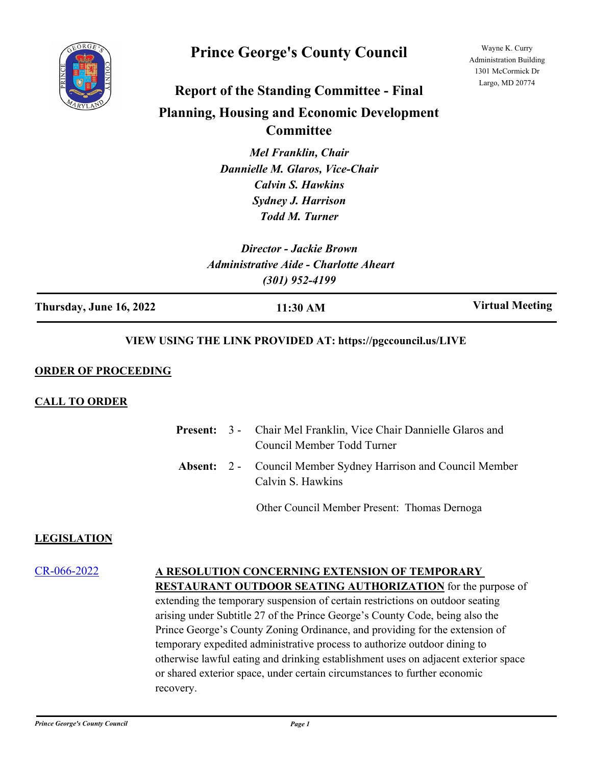

## **Prince George's County Council**

Wayne K. Curry Administration Building 1301 McCormick Dr Largo, MD 20774

# **Report of the Standing Committee - Final**

### **Planning, Housing and Economic Development Committee**

*Mel Franklin, Chair Dannielle M. Glaros, Vice-Chair Calvin S. Hawkins Sydney J. Harrison Todd M. Turner*

*Director - Jackie Brown Administrative Aide - Charlotte Aheart (301) 952-4199*

**Thursday, June 16, 2022 11:30 AM Virtual Meeting**

#### **VIEW USING THE LINK PROVIDED AT: https://pgccouncil.us/LIVE**

#### **ORDER OF PROCEEDING**

#### **CALL TO ORDER**

|  | <b>Present:</b> 3 - Chair Mel Franklin, Vice Chair Dannielle Glaros and<br>Council Member Todd Turner |
|--|-------------------------------------------------------------------------------------------------------|
|  | <b>Absent:</b> 2 - Council Member Sydney Harrison and Council Member<br>Calvin S. Hawkins             |

Other Council Member Present: Thomas Dernoga

#### **LEGISLATION**

[CR-066-2022](http://princegeorgescountymd.legistar.com/gateway.aspx?m=l&id=/matter.aspx?key=14519) **A RESOLUTION CONCERNING EXTENSION OF TEMPORARY RESTAURANT OUTDOOR SEATING AUTHORIZATION** for the purpose of extending the temporary suspension of certain restrictions on outdoor seating arising under Subtitle 27 of the Prince George's County Code, being also the Prince George's County Zoning Ordinance, and providing for the extension of temporary expedited administrative process to authorize outdoor dining to otherwise lawful eating and drinking establishment uses on adjacent exterior space or shared exterior space, under certain circumstances to further economic recovery.